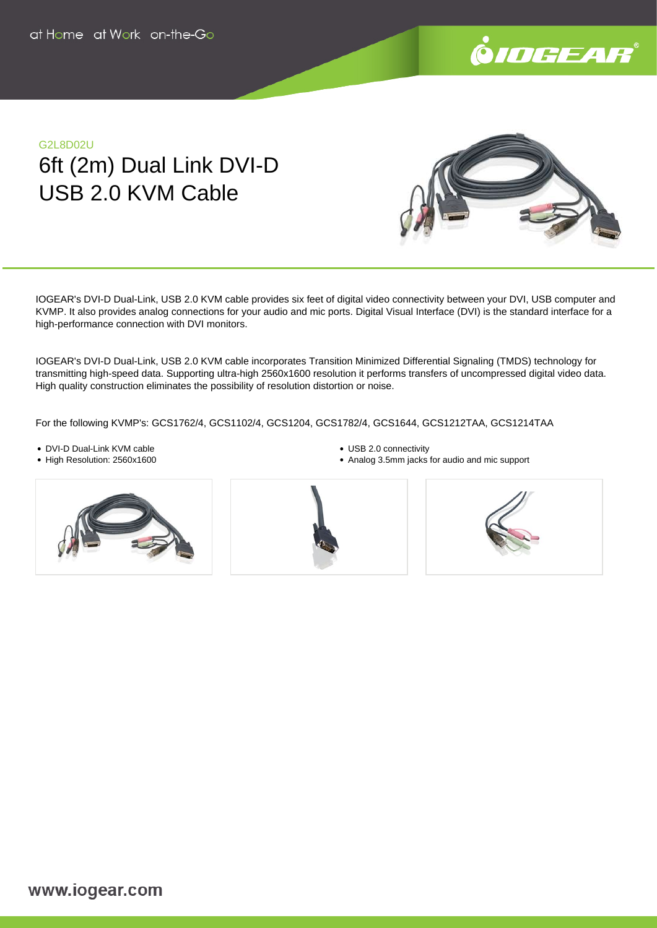

## G2L8D02U 6ft (2m) Dual Link DVI-D USB 2.0 KVM Cable



IOGEAR's DVI-D Dual-Link, USB 2.0 KVM cable provides six feet of digital video connectivity between your DVI, USB computer and KVMP. It also provides analog connections for your audio and mic ports. Digital Visual Interface (DVI) is the standard interface for a high-performance connection with DVI monitors.

IOGEAR's DVI-D Dual-Link, USB 2.0 KVM cable incorporates Transition Minimized Differential Signaling (TMDS) technology for transmitting high-speed data. Supporting ultra-high 2560x1600 resolution it performs transfers of uncompressed digital video data. High quality construction eliminates the possibility of resolution distortion or noise.

For the following KVMP's: GCS1762/4, GCS1102/4, GCS1204, GCS1782/4, GCS1644, GCS1212TAA, GCS1214TAA

- DVI-D Dual-Link KVM cable
- High Resolution: 2560x1600





Analog 3.5mm jacks for audio and mic support